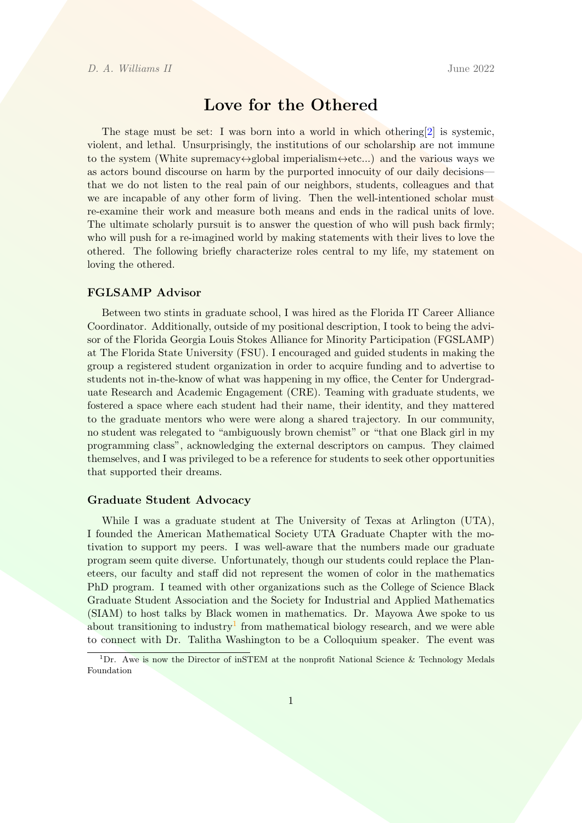# Love for the Othered

The stage must be set: I was born into a world in which othering[\[2\]](#page-2-0) is systemic, violent, and lethal. Unsurprisingly, the institutions of our scholarship are not immune to the system (White supremacy $\leftrightarrow$ global imperialism $\leftrightarrow$ etc...) and the various ways we as actors bound discourse on harm by the purported innocuity of our daily decisions that we do not listen to the real pain of our neighbors, students, colleagues and that we are incapable of any other form of living. Then the well-intentioned scholar must re-examine their work and measure both means and ends in the radical units of love. The ultimate scholarly pursuit is to answer the question of who will push back firmly; who will push for a re-imagined world by making statements with their lives to love the othered. The following briefly characterize roles central to my life, my statement on loving the othered.

#### FGLSAMP Advisor

Between two stints in graduate school, I was hired as the Florida IT Career Alliance Coordinator. Additionally, outside of my positional description, I took to being the advisor of the Florida Georgia Louis Stokes Alliance for Minority Participation (FGSLAMP) at The Florida State University (FSU). I encouraged and guided students in making the group a registered student organization in order to acquire funding and to advertise to students not in-the-know of what was happening in my office, the Center for Undergraduate Research and Academic Engagement (CRE). Teaming with graduate students, we fostered a space where each student had their name, their identity, and they mattered to the graduate mentors who were were along a shared trajectory. In our community, no student was relegated to "ambiguously brown chemist" or "that one Black girl in my programming class", acknowledging the external descriptors on campus. They claimed themselves, and I was privileged to be a reference for students to seek other opportunities that supported their dreams.

#### Graduate Student Advocacy

While I was a graduate student at The University of Texas at Arlington (UTA), I founded the American Mathematical Society UTA Graduate Chapter with the motivation to support my peers. I was well-aware that the numbers made our graduate program seem quite diverse. Unfortunately, though our students could replace the Planeteers, our faculty and staff did not represent the women of color in the mathematics PhD program. I teamed with other organizations such as the College of Science Black Graduate Student Association and the Society for Industrial and Applied Mathematics (SIAM) to host talks by Black women in mathematics. Dr. Mayowa Awe spoke to us about transitioning to industry<sup>[1](#page-0-0)</sup> from mathematical biology research, and we were able to connect with Dr. Talitha Washington to be a Colloquium speaker. The event was

<span id="page-0-0"></span><sup>&</sup>lt;sup>1</sup>Dr. Awe is now the Director of inSTEM at the nonprofit National Science & Technology Medals Foundation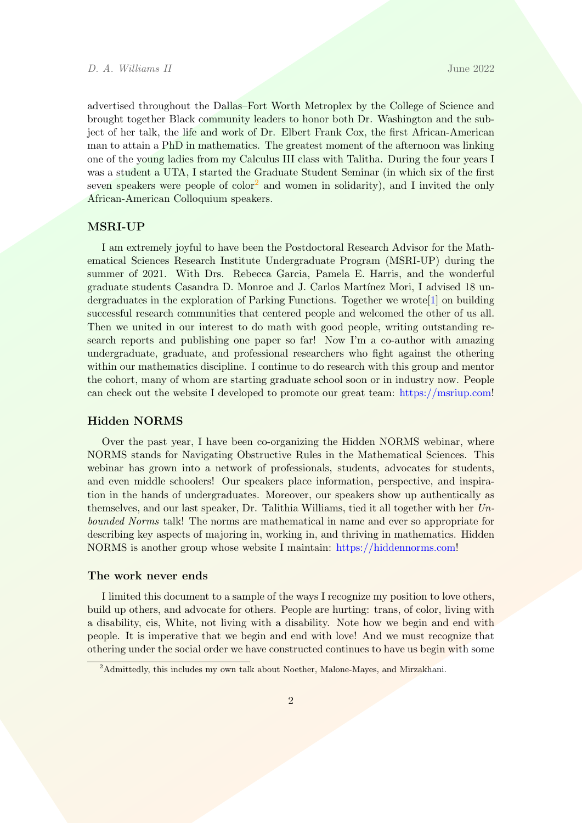advertised throughout the Dallas–Fort Worth Metroplex by the College of Science and brought together Black community leaders to honor both Dr. Washington and the subject of her talk, the life and work of Dr. Elbert Frank Cox, the first African-American man to attain a PhD in mathematics. The greatest moment of the afternoon was linking one of the young ladies from my Calculus III class with Talitha. During the four years I was a student a UTA, I started the Graduate Student Seminar (in which six of the first seven speakers were people of  $color<sup>2</sup>$  $color<sup>2</sup>$  $color<sup>2</sup>$  and women in solidarity), and I invited the only African-American Colloquium speakers.

#### MSRI-UP

I am extremely joyful to have been the Postdoctoral Research Advisor for the Mathematical Sciences Research Institute Undergraduate Program (MSRI-UP) during the summer of 2021. With Drs. Rebecca Garcia, Pamela E. Harris, and the wonderful graduate students Casandra D. Monroe and J. Carlos Mart´ınez Mori, I advised 18 undergraduates in the exploration of Parking Functions. Together we wrote[\[1\]](#page-2-1) on building successful research communities that centered people and welcomed the other of us all. Then we united in our interest to do math with good people, writing outstanding research reports and publishing one paper so far! Now I'm a co-author with amazing undergraduate, graduate, and professional researchers who fight against the othering within our mathematics discipline. I continue to do research with this group and mentor the cohort, many of whom are starting graduate school soon or in industry now. People can check out the website I developed to promote our great team: [https://msriup.com!](https://msriup.com)

### Hidden NORMS

Over the past year, I have been co-organizing the Hidden NORMS webinar, where NORMS stands for Navigating Obstructive Rules in the Mathematical Sciences. This webinar has grown into a network of professionals, students, advocates for students, and even middle schoolers! Our speakers place information, perspective, and inspiration in the hands of undergraduates. Moreover, our speakers show up authentically as themselves, and our last speaker, Dr. Talithia Williams, tied it all together with her  $Un$ bounded Norms talk! The norms are mathematical in name and ever so appropriate for describing key aspects of majoring in, working in, and thriving in mathematics. Hidden NORMS is another group whose website I maintain: [https://hiddennorms.com!](https://hiddenNORMS.com)

#### The work never ends

I limited this document to a sample of the ways I recognize my position to love others, build up others, and advocate for others. People are hurting: trans, of color, living with a disability, cis, White, not living with a disability. Note how we begin and end with people. It is imperative that we begin and end with love! And we must recognize that othering under the social order we have constructed continues to have us begin with some

<span id="page-1-0"></span><sup>&</sup>lt;sup>2</sup>Admittedly, this includes my own talk about Noether, Malone-Mayes, and Mirzakhani.